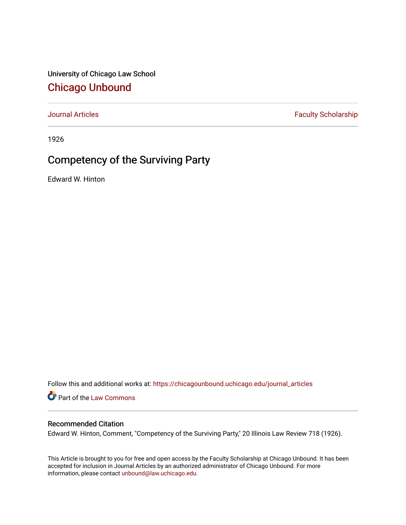University of Chicago Law School [Chicago Unbound](https://chicagounbound.uchicago.edu/)

[Journal Articles](https://chicagounbound.uchicago.edu/journal_articles) **Faculty Scholarship Faculty Scholarship** 

1926

## Competency of the Surviving Party

Edward W. Hinton

Follow this and additional works at: [https://chicagounbound.uchicago.edu/journal\\_articles](https://chicagounbound.uchicago.edu/journal_articles?utm_source=chicagounbound.uchicago.edu%2Fjournal_articles%2F9021&utm_medium=PDF&utm_campaign=PDFCoverPages) 

Part of the [Law Commons](http://network.bepress.com/hgg/discipline/578?utm_source=chicagounbound.uchicago.edu%2Fjournal_articles%2F9021&utm_medium=PDF&utm_campaign=PDFCoverPages)

## Recommended Citation

Edward W. Hinton, Comment, "Competency of the Surviving Party," 20 Illinois Law Review 718 (1926).

This Article is brought to you for free and open access by the Faculty Scholarship at Chicago Unbound. It has been accepted for inclusion in Journal Articles by an authorized administrator of Chicago Unbound. For more information, please contact [unbound@law.uchicago.edu](mailto:unbound@law.uchicago.edu).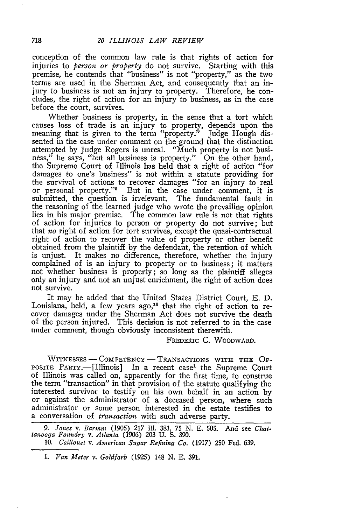conception of the common law rule is that rights of action for injuries to *person or property* do not survive. Starting with this premise, he contends that "business" is not "property," as the two terms are used in the Sherman Act, and consequently that an injury to business is not an injury to property. Therefore, he concludes, the right of action for an injury to business, as in the case before the court, survives.

Whether business is property, in the sense that a tort which causes loss of trade is an injury to property, depends upon the meaning that is given to the term "property." Judge Hough dissented in the case under comment on the ground that the distinction attempted by Judge Rogers is unreal. "Much property is not business," he says, "but all business is property." On the other hand, the Supreme Court of Illinois has held that a right of action "for damages to one's business" is not within a statute providing for the survival of actions to recover damages "for an injury to real or personal property."9 But in the case under comment, it is submitted, the question is irrelevant. The fundamental fault in the reasoning of the learned judge who wrote the prevailing opinion lies in his major premise. The common law rule is not that rights of action for injuries to person or property do not survive; but that no right of action for tort survives, except the quasi-contractual right of action to recover the value of property or other benefit obtained from the plaintiff by the defendant, the retention of which is unjust. It makes no difference, therefore, whether the injury complained of is an injury to property or to business; it matters not whether business is property; so long as the plaintiff alleges only an injury and not an unjust enrichment, the right of action does not survive.

It may be added that the United States District Court, **E.** D. Louisiana, held, a few years ago,<sup>10</sup> that the right of action to recover damages under the Sherman Act does not survive the death of the person injured. This decision is not referred to in the case under comment, though obviously inconsistent therewith.

FREDERIC **C.** WOODWARD.

WITNESSES - COMPETENCY - TRANSACTIONS WITH THE OP-POSITE PARTY.--[Illinois] In a recent case<sup>1</sup> the Supreme Court of Illinois was called on, apparently for the first time, to construe the term "transaction" in that provision of the statute qualifying the interested survivor to testify on his own behalf in an action by or against the administrator of a deceased person, where such administrator or some person interested in the estate testifies to a conversation of *transaction* with such adverse party.

*<sup>9.</sup> Jones v. Barinm* (1905) 217 II. 381, 75 N. E. 505. And see *Chat-tanooga Foundry v. Atlanta* (1906) **203 U. S.** 390.

<sup>10.</sup> *Caillouet v. American Sugar Refining Co.* (1917) **250** Fed. 639.

*<sup>1.</sup> Van Meter v. Goldfarb* (1925) 148 N. E. 391.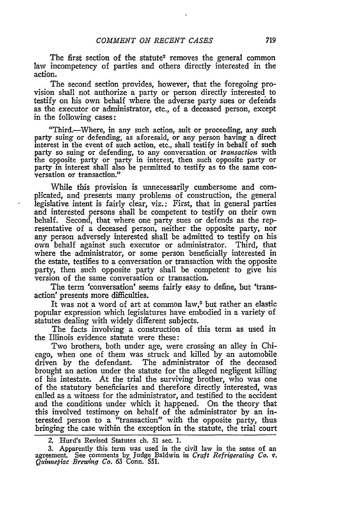The first section of the statute<sup>2</sup> removes the general common law incompetency of parties and others directly interested in the action.

The second section provides, however, that the foregoing provision shall not authorize a party or person directly interested to testify on his own behalf where the adverse party sues or defends as the executor or administrator, etc., of a deceased person, except in the following cases:

"Third.-Where, in any such action, suit or proceeding, any such party suing or defending, as aforesaid, or any person having a direct interest in the event of such action, etc., shall testify in behalf of such party so suing or defending, to any conversation or transaction with the opposite party or party in interest, then such opposite party or party in interest shall also be permitted to testify as to the same conversation or transaction."

While this provision is unnecessarily cumbersome and complicated, and presents many problems of construction, the general legislative intent is fairly clear, viz.: First, that in general parties and interested persons shall be competent to testify on their own behalf. Second, that where one party sues or defends as the representative of a deceased person, neither the opposite party, nor any person adversely interested shall be admitted to testify on his own behalf against such executor or administrator. Third, that where the administrator, or some person beneficially interested in the estate, testifies to a conversation or transaction with the opposite party, then such opposite party shall be competent to give his version of the same conversation or transaction.

The term 'conversation' seems fairly easy to define, but 'transaction' presents more difficulties.

It was not a word of art at common law,<sup>3</sup> but rather an elastic popular expression which legislatures have embodied in a variety of statutes dealing with widely different subjects.

The facts involving a construction of this term as used in the Illinois evidence statute were these:

Two brothers, both under age, were crossing an alley in Chicago, when one of them was struck and killed by an automobile driven by the defendant. The administrator of the deceased brought an action under the statute for the alleged negligent killing of his intestate. At the trial the surviving brother, who was one of the statutory beneficiaries and therefore directly interested, was called as a witness for the administrator, and testified to the accident and the conditions under which it happened. On the theory that this involved testimony on behalf of the administrator by an interested person to a "transaction" with the opposite party, thus bringing the case within the exception in the statute, the trial court

*2.* Hurd's Revised Statutes ch. **51** sec. **1.**

3. Apparently this term was used in the civil law in the sense of an agreement. See comments by Judge Baldwin in *Craft Refrigerating Co. v. Quinnepiac Brewing Co.* 63 Conn. 551.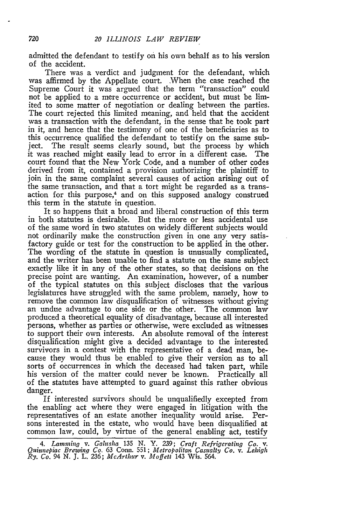admitted the defendant to testify on his own behalf as to his version of the accident.

There was a verdict and judgment for the defendant, which was affirmed by the Appellate court. .When the case reached the Supreme Court it was argued that the term "transaction" could not be applied to a mere occurrence or accident, but must be limited to some matter of negotiation or dealing between the parties. The court rejected this limited meaning, and held that the accident was a transaction with the defendant, in the sense that he took part in it, and hence that the testimony of one of the beneficiaries as to this occurrence qualified the defendant to testify on the same subject. The result seems clearly sound, but the process by which it was reached might easily lead to error in a different case. The court found that the New York Code, and a number of other codes derived from it, contained a provision authorizing the plaintiff to join in the same complaint several causes of action arising out of the same transaction, and that a tort might be regarded as a transaction for this purpose,<sup>4</sup> and on this supposed analogy construed this term in the statute in question.

It so happens that a broad and liberal construction of this term in both statutes is desirable. But the more or less accidental use of the same word in two statutes on widely different subjects would not ordinarily make the construction given in one any very satisfactory guide or test for the construction to be applied in the other. The wording of the statute in question is unusually complicated, and the writer has been unable to find a statute on the same subject exactly like it in any of the other states, so that decisions on the precise point are wanting. An examination, however, of a number of the typical statutes on this subject discloses that the various legislatures have struggled with the same problem, namely, how to remove the common law disqualification of witnesses without giving an undue advantage to one side or the other. The common law produced a theoretical equality of disadvantage, because all interested persons, whether as parties or otherwise, were excluded as witnesses to support their own interests. An absolute removal of the interest disqualification might give a decided advantage to the interested survivors in a contest with the representative of a dead man, because they would thus be enabled to give their version as to all sorts of occurrences in which the deceased had taken part, while his version of the matter could never be known. Practically all of the statutes have attempted to guard against this rather obvious danger.

If interested survivors should be unqualifiedly excepted from the enabling act where they were engaged in litigation with the representatives of an estate another inequality would arise. Persons interested in the estate, who would have been disqualified at common law, could, by virtue of the general enabling act, testify

*<sup>4.</sup> Lammnhq v. Galusha* 135 **N.** Y. 239; *Craft Refrigerating Co. v. Quinnepiac Brewinq Co.* 63 Conn. 551; *Metropolitan Casualty Co. v. Lehigh Ry. Co. 94* N. **J.** L. 236; *McArthur v. Moffett* 143 Wis. 564.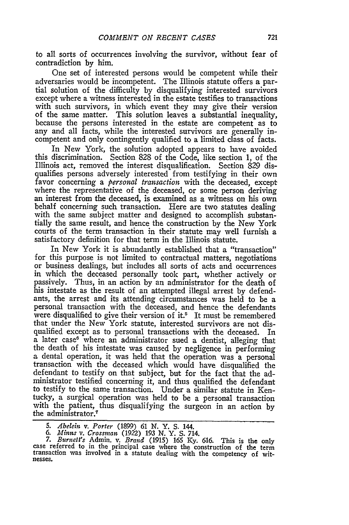to all sorts of occurrences involving the survivor, without fear of contradiction by him.

One set of interested persons would be competent while their adversaries would be incompetent. The Illinois statute offers a partial solution of the difficulty by disqualifying interested survivors except where a witness interested in the estate testifies to transactions with such survivors, in which event they may give their version of the same matter. This solution leaves a substantial inequality, because the persons interested in the estate are competent as to any and all facts, while the interested survivors are generally incompetent and only contingently qualified to a limited class of facts.

In New York, the solution adopted appears to have avoided this discrimination. Section 828 of the Code, like section 1, of the Illinois act, removed the interest disqualification. Section 829 disqualifies persons adversely interested from testifying in their own favor concerning a *personal transaction* with the deceased, except where the representative of the deceased, or some person deriving an interest from the deceased, is examined as a witness on his own behalf concerning such transaction. Here are two statutes dealing with the same subject matter and designed to accomplish substantially the same result, and hence the construction by the New York courts of the term transaction in their statute may well furnish a satisfactory definition for that term in the Illinois statute.

In New York it is abundantly established that a "transaction" for this purpose is not limited to contractual matters, negotiations or business dealings, but includes all sorts of acts and occurrences in which the deceased personally took part, whether actively or passively. Thus, in an action by an administrator for the death of his intestate as the result of an attempted illegal arrest by defendants, the arrest and its attending circumstances was held to be a personal transaction with the deceased, and hence the defendants were disqualified to give their version of it.<sup>5</sup> It must be remembered that under the New York statute, interested survivors are not disqualified except as to personal transactions with the deceased. In a later case<sup>6</sup> where an administrator sued a dentist, alleging that the death of his intestate was caused by negligence in performing a dental operation, it was held that the operation was a personal transaction with the deceased which would have disqualified the defendant to testify on that subject, but for the fact that the administrator testified concerning it, and thus qualified the defendant to testify to the same transaction. Under a similar statute in Kentucky, a surgical operation was held to be a personal transaction with the patient, thus disqualifying the surgeon in an action by the administrator.<sup>7</sup>

*<sup>5.</sup> Abelebn v. Porter* (1899) *61* **N.** Y. **S.** 144. *6. Mins v. Crossinan* (1922) **193 N.** Y. **S.** 714.

*<sup>7.</sup> Burnett's* Admin. v. *Brand* (1915) 165 Ky. 616. This is the only case referred to in the principal case where the construction of the term transaction was involved in a statute dealing with the competency of wit-nesses.